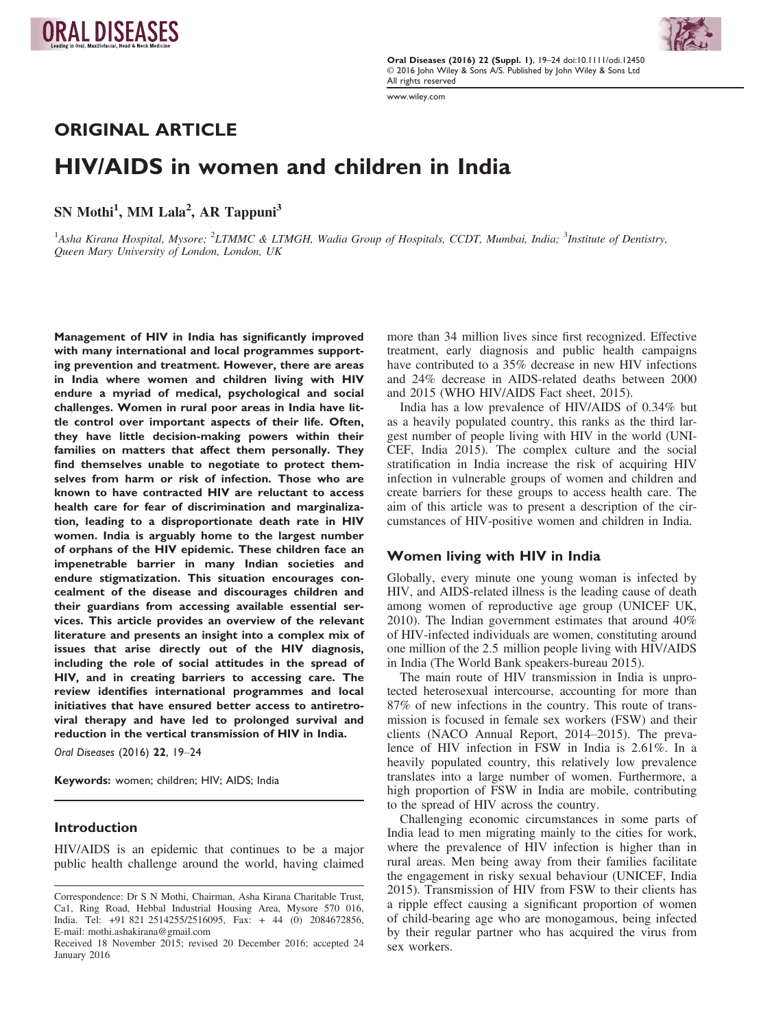Oral Diseases (2016) 22 (Suppl. 1), 19–24 doi:10.1111/odi.12450 © 2016 John Wiley & Sons A/S. Published by John Wiley & Sons Ltd All rights reserved

www.wiley.com

ORIGINAL ARTICLE

# HIV/AIDS in women and children in India

 $SN M$ <sub>10</sub> MM Lala , AR Tappuni

<sup>1</sup>Asha Kirana Hospital, Mysore; <sup>2</sup>LTMMC & LTMGH, Wadia Group of Hospitals, CCDT, Mumbai, India; <sup>3</sup>Institute of Dentistry, Queen Mary University of London, London, UK

Management of HIV in India has significantly improved with many international and local programmes supporting prevention and treatment. However, there are areas in India where women and children living with HIV endure a myriad of medical, psychological and social challenges. Women in rural poor areas in India have little control over important aspects of their life. Often, they have little decision-making powers within their families on matters that affect them personally. They find themselves unable to negotiate to protect themselves from harm or risk of infection. Those who are known to have contracted HIV are reluctant to access health care for fear of discrimination and marginalization, leading to a disproportionate death rate in HIV women. India is arguably home to the largest number of orphans of the HIV epidemic. These children face an impenetrable barrier in many Indian societies and endure stigmatization. This situation encourages concealment of the disease and discourages children and their guardians from accessing available essential services. This article provides an overview of the relevant literature and presents an insight into a complex mix of issues that arise directly out of the HIV diagnosis, including the role of social attitudes in the spread of HIV, and in creating barriers to accessing care. The review identifies international programmes and local initiatives that have ensured better access to antiretroviral therapy and have led to prolonged survival and reduction in the vertical transmission of HIV in India.

Oral Diseases (2016) 22[, 19](info:doi/10.1111/odi.12450)–24

Keywords: women; children; HIV; AIDS; India

### Introduction

HIV/AIDS is an epidemic that continues to be a major public health challenge around the world, having claimed more than 34 million lives since first recognized. Effective treatment, early diagnosis and public health campaigns have contributed to a 35% decrease in new HIV infections and 24% decrease in AIDS-related deaths between 2000 and 2015 (WHO HIV/AIDS Fact sheet, 2015).

India has a low prevalence of HIV/AIDS of 0.34% but as a heavily populated country, this ranks as the third largest number of people living with HIV in the world (UNI-CEF, India 2015). The complex culture and the social stratification in India increase the risk of acquiring HIV infection in vulnerable groups of women and children and create barriers for these groups to access health care. The aim of this article was to present a description of the circumstances of HIV-positive women and children in India.

# Women living with HIV in India

Globally, every minute one young woman is infected by HIV, and AIDS-related illness is the leading cause of death among women of reproductive age group (UNICEF UK, 2010). The Indian government estimates that around 40% of HIV-infected individuals are women, constituting around one million of the 2.5 million people living with HIV/AIDS in India (The World Bank speakers-bureau 2015).

The main route of HIV transmission in India is unprotected heterosexual intercourse, accounting for more than 87% of new infections in the country. This route of transmission is focused in female sex workers (FSW) and their clients (NACO Annual Report, 2014–2015). The prevalence of HIV infection in FSW in India is 2.61%. In a heavily populated country, this relatively low prevalence translates into a large number of women. Furthermore, a high proportion of FSW in India are mobile, contributing to the spread of HIV across the country.

Challenging economic circumstances in some parts of India lead to men migrating mainly to the cities for work, where the prevalence of HIV infection is higher than in rural areas. Men being away from their families facilitate the engagement in risky sexual behaviour (UNICEF, India 2015). Transmission of HIV from FSW to their clients has a ripple effect causing a significant proportion of women of child-bearing age who are monogamous, being infected by their regular partner who has acquired the virus from sex workers.



Correspondence: Dr S N Mothi, Chairman, Asha Kirana Charitable Trust, Ca1, Ring Road, Hebbal Industrial Housing Area, Mysore 570 016, India. Tel: +91 821 2514255/2516095, Fax: + 44 (0) 2084672856, E-mail: mothi.ashakirana@gmail.com

Received 18 November 2015; revised 20 December 2016; accepted 24 January 2016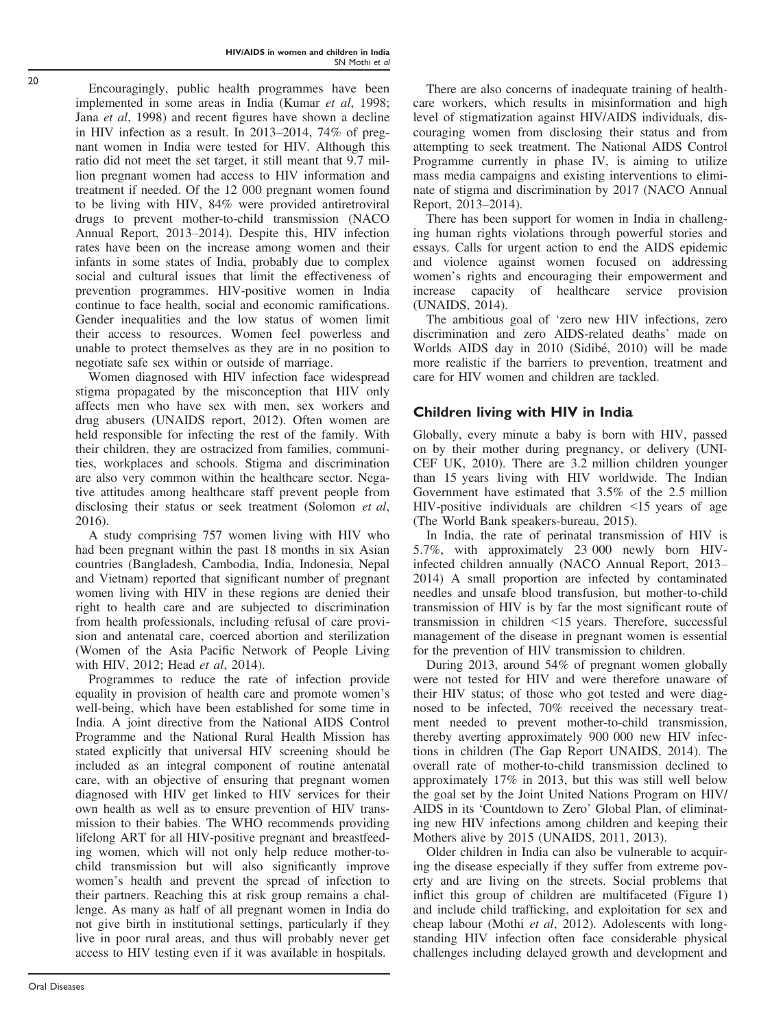Oral Diseases

Encouragingly, public health programmes have been implemented in some areas in India (Kumar et al, 1998; Jana et al, 1998) and recent figures have shown a decline in HIV infection as a result. In 2013–2014, 74% of pregnant women in India were tested for HIV. Although this ratio did not meet the set target, it still meant that 9.7 million pregnant women had access to HIV information and treatment if needed. Of the 12 000 pregnant women found to be living with HIV, 84% were provided antiretroviral drugs to prevent mother-to-child transmission (NACO Annual Report, 2013–2014). Despite this, HIV infection rates have been on the increase among women and their infants in some states of India, probably due to complex social and cultural issues that limit the effectiveness of prevention programmes. HIV-positive women in India continue to face health, social and economic ramifications. Gender inequalities and the low status of women limit their access to resources. Women feel powerless and unable to protect themselves as they are in no position to negotiate safe sex within or outside of marriage.

Women diagnosed with HIV infection face widespread stigma propagated by the misconception that HIV only affects men who have sex with men, sex workers and drug abusers (UNAIDS report, 2012). Often women are held responsible for infecting the rest of the family. With their children, they are ostracized from families, communities, workplaces and schools. Stigma and discrimination are also very common within the healthcare sector. Negative attitudes among healthcare staff prevent people from disclosing their status or seek treatment (Solomon et al, 2016).

A study comprising 757 women living with HIV who had been pregnant within the past 18 months in six Asian countries (Bangladesh, Cambodia, India, Indonesia, Nepal and Vietnam) reported that significant number of pregnant women living with HIV in these regions are denied their right to health care and are subjected to discrimination from health professionals, including refusal of care provision and antenatal care, coerced abortion and sterilization (Women of the Asia Pacific Network of People Living with HIV, 2012; Head et al, 2014).

Programmes to reduce the rate of infection provide equality in provision of health care and promote women's well-being, which have been established for some time in India. A joint directive from the National AIDS Control Programme and the National Rural Health Mission has stated explicitly that universal HIV screening should be included as an integral component of routine antenatal care, with an objective of ensuring that pregnant women diagnosed with HIV get linked to HIV services for their own health as well as to ensure prevention of HIV transmission to their babies. The WHO recommends providing lifelong ART for all HIV-positive pregnant and breastfeeding women, which will not only help reduce mother-tochild transmission but will also significantly improve women's health and prevent the spread of infection to their partners. Reaching this at risk group remains a challenge. As many as half of all pregnant women in India do not give birth in institutional settings, particularly if they live in poor rural areas, and thus will probably never get access to HIV testing even if it was available in hospitals.

There are also concerns of inadequate training of healthcare workers, which results in misinformation and high level of stigmatization against HIV/AIDS individuals, discouraging women from disclosing their status and from attempting to seek treatment. The National AIDS Control Programme currently in phase IV, is aiming to utilize mass media campaigns and existing interventions to eliminate of stigma and discrimination by 2017 (NACO Annual Report, 2013–2014).

There has been support for women in India in challenging human rights violations through powerful stories and essays. Calls for urgent action to end the AIDS epidemic and violence against women focused on addressing women's rights and encouraging their empowerment and increase capacity of healthcare service provision (UNAIDS, 2014).

The ambitious goal of 'zero new HIV infections, zero discrimination and zero AIDS-related deaths' made on Worlds AIDS day in 2010 (Sidibe, 2010) will be made more realistic if the barriers to prevention, treatment and care for HIV women and children are tackled.

# Children living with HIV in India

Globally, every minute a baby is born with HIV, passed on by their mother during pregnancy, or delivery (UNI-CEF UK, 2010). There are 3.2 million children younger than 15 years living with HIV worldwide. The Indian Government have estimated that 3.5% of the 2.5 million HIV-positive individuals are children  $\leq 15$  years of age (The World Bank speakers-bureau, 2015).

In India, the rate of perinatal transmission of HIV is 5.7%, with approximately 23 000 newly born HIVinfected children annually (NACO Annual Report, 2013– 2014) A small proportion are infected by contaminated needles and unsafe blood transfusion, but mother-to-child transmission of HIV is by far the most significant route of transmission in children <15 years. Therefore, successful management of the disease in pregnant women is essential for the prevention of HIV transmission to children.

During 2013, around 54% of pregnant women globally were not tested for HIV and were therefore unaware of their HIV status; of those who got tested and were diagnosed to be infected, 70% received the necessary treatment needed to prevent mother-to-child transmission, thereby averting approximately 900 000 new HIV infections in children (The Gap Report UNAIDS, 2014). The overall rate of mother-to-child transmission declined to approximately 17% in 2013, but this was still well below the goal set by the Joint United Nations Program on HIV/ AIDS in its 'Countdown to Zero' Global Plan, of eliminating new HIV infections among children and keeping their Mothers alive by 2015 (UNAIDS, 2011, 2013).

Older children in India can also be vulnerable to acquiring the disease especially if they suffer from extreme poverty and are living on the streets. Social problems that inflict this group of children are multifaceted (Figure 1) and include child trafficking, and exploitation for sex and cheap labour (Mothi et al, 2012). Adolescents with longstanding HIV infection often face considerable physical challenges including delayed growth and development and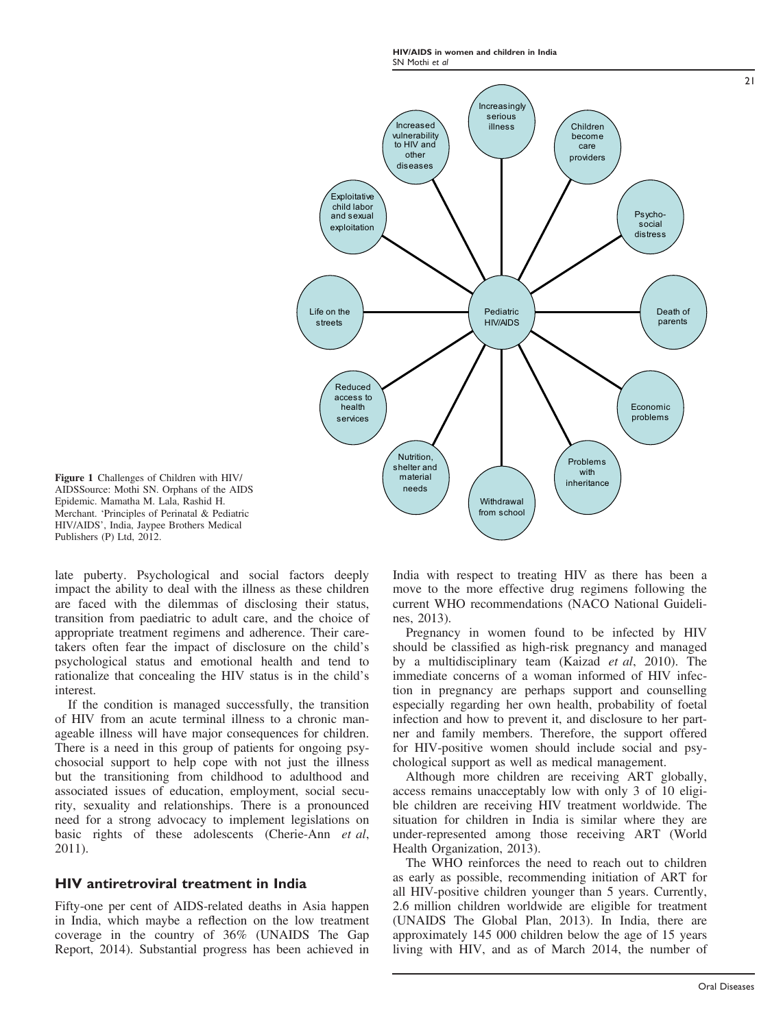HIV/AIDS in women and children in India SN Mothi et al



Figure 1 Challenges of Children with HIV/ AIDSSource: Mothi SN. Orphans of the AIDS Epidemic. Mamatha M. Lala, Rashid H. Merchant. 'Principles of Perinatal & Pediatric HIV/AIDS', India, Jaypee Brothers Medical Publishers (P) Ltd, 2012.

late puberty. Psychological and social factors deeply impact the ability to deal with the illness as these children are faced with the dilemmas of disclosing their status, transition from paediatric to adult care, and the choice of appropriate treatment regimens and adherence. Their caretakers often fear the impact of disclosure on the child's psychological status and emotional health and tend to rationalize that concealing the HIV status is in the child's interest.

If the condition is managed successfully, the transition of HIV from an acute terminal illness to a chronic manageable illness will have major consequences for children. There is a need in this group of patients for ongoing psychosocial support to help cope with not just the illness but the transitioning from childhood to adulthood and associated issues of education, employment, social security, sexuality and relationships. There is a pronounced need for a strong advocacy to implement legislations on basic rights of these adolescents (Cherie-Ann et al, 2011).

# HIV antiretroviral treatment in India

Fifty-one per cent of AIDS-related deaths in Asia happen in India, which maybe a reflection on the low treatment coverage in the country of 36% (UNAIDS The Gap Report, 2014). Substantial progress has been achieved in India with respect to treating HIV as there has been a move to the more effective drug regimens following the current WHO recommendations (NACO National Guidelines, 2013).

Pregnancy in women found to be infected by HIV should be classified as high-risk pregnancy and managed by a multidisciplinary team (Kaizad *et al.* 2010). The immediate concerns of a woman informed of HIV infection in pregnancy are perhaps support and counselling especially regarding her own health, probability of foetal infection and how to prevent it, and disclosure to her partner and family members. Therefore, the support offered for HIV-positive women should include social and psychological support as well as medical management.

Although more children are receiving ART globally, access remains unacceptably low with only 3 of 10 eligible children are receiving HIV treatment worldwide. The situation for children in India is similar where they are under-represented among those receiving ART (World Health Organization, 2013).

The WHO reinforces the need to reach out to children as early as possible, recommending initiation of ART for all HIV-positive children younger than 5 years. Currently, 2.6 million children worldwide are eligible for treatment (UNAIDS The Global Plan, 2013). In India, there are approximately 145 000 children below the age of 15 years living with HIV, and as of March 2014, the number of

 $21$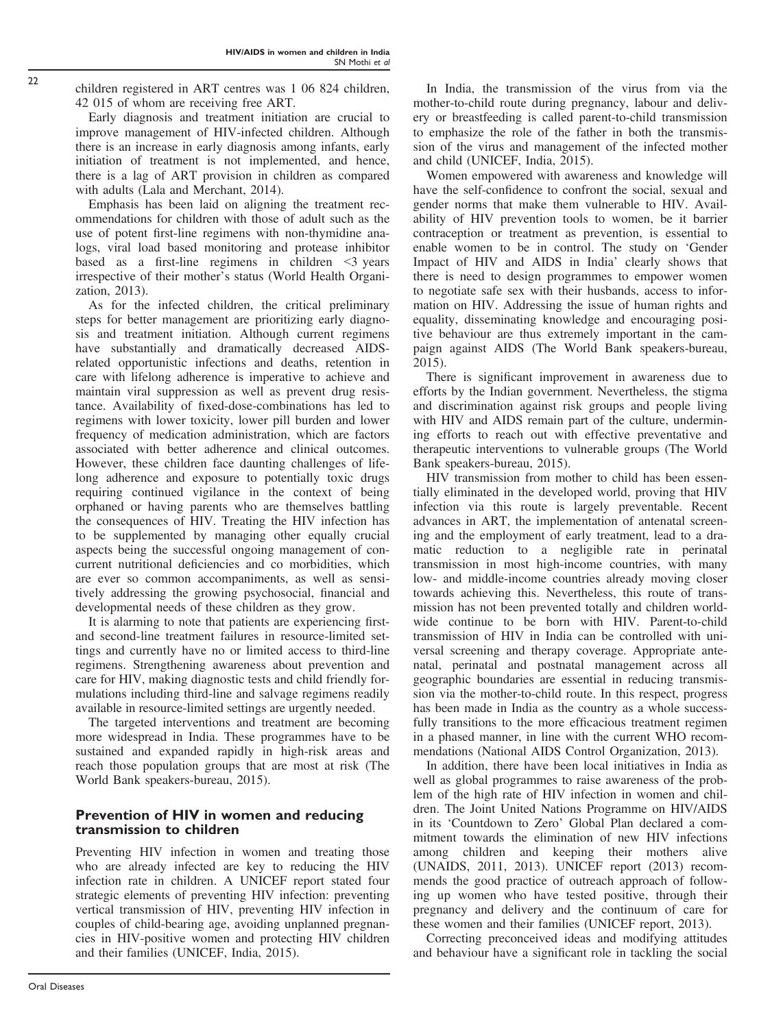children registered in ART centres was 1 06 824 children, 42 015 of whom are receiving free ART.

Early diagnosis and treatment initiation are crucial to improve management of HIV-infected children. Although there is an increase in early diagnosis among infants, early initiation of treatment is not implemented, and hence, there is a lag of ART provision in children as compared with adults (Lala and Merchant, 2014).

Emphasis has been laid on aligning the treatment recommendations for children with those of adult such as the use of potent first-line regimens with non-thymidine analogs, viral load based monitoring and protease inhibitor based as a first-line regimens in children <3 years irrespective of their mother's status (World Health Organization, 2013).

As for the infected children, the critical preliminary steps for better management are prioritizing early diagnosis and treatment initiation. Although current regimens have substantially and dramatically decreased AIDSrelated opportunistic infections and deaths, retention in care with lifelong adherence is imperative to achieve and maintain viral suppression as well as prevent drug resistance. Availability of fixed-dose-combinations has led to regimens with lower toxicity, lower pill burden and lower frequency of medication administration, which are factors associated with better adherence and clinical outcomes. However, these children face daunting challenges of lifelong adherence and exposure to potentially toxic drugs requiring continued vigilance in the context of being orphaned or having parents who are themselves battling the consequences of HIV. Treating the HIV infection has to be supplemented by managing other equally crucial aspects being the successful ongoing management of concurrent nutritional deficiencies and co morbidities, which are ever so common accompaniments, as well as sensitively addressing the growing psychosocial, financial and developmental needs of these children as they grow.

It is alarming to note that patients are experiencing firstand second-line treatment failures in resource-limited settings and currently have no or limited access to third-line regimens. Strengthening awareness about prevention and care for HIV, making diagnostic tests and child friendly formulations including third-line and salvage regimens readily available in resource-limited settings are urgently needed.

The targeted interventions and treatment are becoming more widespread in India. These programmes have to be sustained and expanded rapidly in high-risk areas and reach those population groups that are most at risk (The World Bank speakers-bureau, 2015).

# Prevention of HIV in women and reducing transmission to children

Preventing HIV infection in women and treating those who are already infected are key to reducing the HIV infection rate in children. A UNICEF report stated four strategic elements of preventing HIV infection: preventing vertical transmission of HIV, preventing HIV infection in couples of child-bearing age, avoiding unplanned pregnancies in HIV-positive women and protecting HIV children and their families (UNICEF, India, 2015).

In India, the transmission of the virus from via the mother-to-child route during pregnancy, labour and delivery or breastfeeding is called parent-to-child transmission to emphasize the role of the father in both the transmission of the virus and management of the infected mother and child (UNICEF, India, 2015).

Women empowered with awareness and knowledge will have the self-confidence to confront the social, sexual and gender norms that make them vulnerable to HIV. Availability of HIV prevention tools to women, be it barrier contraception or treatment as prevention, is essential to enable women to be in control. The study on 'Gender Impact of HIV and AIDS in India' clearly shows that there is need to design programmes to empower women to negotiate safe sex with their husbands, access to information on HIV. Addressing the issue of human rights and equality, disseminating knowledge and encouraging positive behaviour are thus extremely important in the campaign against AIDS (The World Bank speakers-bureau, 2015).

There is significant improvement in awareness due to efforts by the Indian government. Nevertheless, the stigma and discrimination against risk groups and people living with HIV and AIDS remain part of the culture, undermining efforts to reach out with effective preventative and therapeutic interventions to vulnerable groups (The World Bank speakers-bureau, 2015).

HIV transmission from mother to child has been essentially eliminated in the developed world, proving that HIV infection via this route is largely preventable. Recent advances in ART, the implementation of antenatal screening and the employment of early treatment, lead to a dramatic reduction to a negligible rate in perinatal transmission in most high-income countries, with many low- and middle-income countries already moving closer towards achieving this. Nevertheless, this route of transmission has not been prevented totally and children worldwide continue to be born with HIV. Parent-to-child transmission of HIV in India can be controlled with universal screening and therapy coverage. Appropriate antenatal, perinatal and postnatal management across all geographic boundaries are essential in reducing transmission via the mother-to-child route. In this respect, progress has been made in India as the country as a whole successfully transitions to the more efficacious treatment regimen in a phased manner, in line with the current WHO recommendations (National AIDS Control Organization, 2013).

In addition, there have been local initiatives in India as well as global programmes to raise awareness of the problem of the high rate of HIV infection in women and children. The Joint United Nations Programme on HIV/AIDS in its 'Countdown to Zero' Global Plan declared a commitment towards the elimination of new HIV infections among children and keeping their mothers alive (UNAIDS, 2011, 2013). UNICEF report (2013) recommends the good practice of outreach approach of following up women who have tested positive, through their pregnancy and delivery and the continuum of care for these women and their families (UNICEF report, 2013).

Correcting preconceived ideas and modifying attitudes and behaviour have a significant role in tackling the social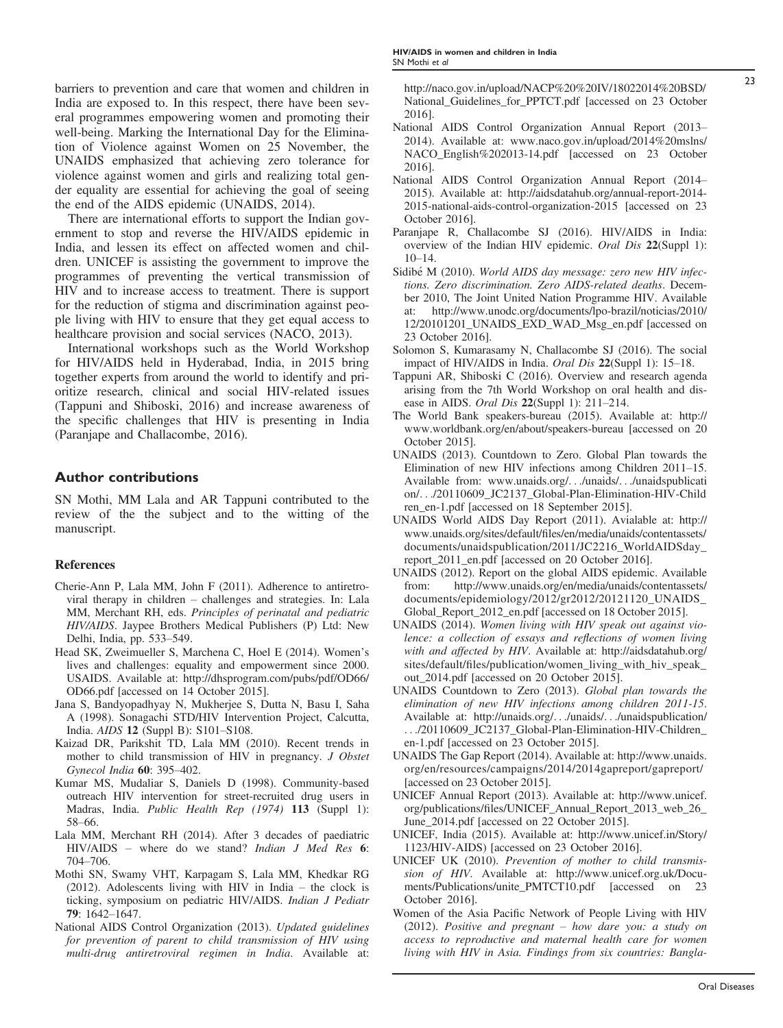barriers to prevention and care that women and children in India are exposed to. In this respect, there have been several programmes empowering women and promoting their well-being. Marking the International Day for the Elimination of Violence against Women on 25 November, the UNAIDS emphasized that achieving zero tolerance for violence against women and girls and realizing total gender equality are essential for achieving the goal of seeing the end of the AIDS epidemic (UNAIDS, 2014).

There are international efforts to support the Indian government to stop and reverse the HIV/AIDS epidemic in India, and lessen its effect on affected women and children. UNICEF is assisting the government to improve the programmes of preventing the vertical transmission of HIV and to increase access to treatment. There is support for the reduction of stigma and discrimination against people living with HIV to ensure that they get equal access to healthcare provision and social services (NACO, 2013).

International workshops such as the World Workshop for HIV/AIDS held in Hyderabad, India, in 2015 bring together experts from around the world to identify and prioritize research, clinical and social HIV-related issues (Tappuni and Shiboski, 2016) and increase awareness of the specific challenges that HIV is presenting in India (Paranjape and Challacombe, 2016).

# Author contributions

SN Mothi, MM Lala and AR Tappuni contributed to the review of the the subject and to the witting of the manuscript.

- Cherie-Ann P, Lala MM, John F (2011). Adherence to antiretroviral therapy in children – challenges and strategies. In: Lala MM, Merchant RH, eds. Principles of perinatal and pediatric HIV/AIDS. Jaypee Brothers Medical Publishers (P) Ltd: New Delhi, India, pp. 533–549.
- Head SK, Zweimueller S, Marchena C, Hoel E (2014). Women's lives and challenges: equality and empowerment since 2000. USAIDS. Available at: [http://dhsprogram.com/pubs/pdf/OD66/](http://dhsprogram.com/pubs/pdf/OD66/OD66.pdf) [OD66.pdf](http://dhsprogram.com/pubs/pdf/OD66/OD66.pdf) [accessed on 14 October 2015].
- Jana S, Bandyopadhyay N, Mukherjee S, Dutta N, Basu I, Saha A (1998). Sonagachi STD/HIV Intervention Project, Calcutta, India. AIDS 12 (Suppl B): S101–S108.
- Kaizad DR, Parikshit TD, Lala MM (2010). Recent trends in mother to child transmission of HIV in pregnancy. J Obstet Gynecol India 60: 395–402.
- Kumar MS, Mudaliar S, Daniels D (1998). Community-based outreach HIV intervention for street-recruited drug users in Madras, India. Public Health Rep (1974) 113 (Suppl 1): 58–66.
- Lala MM, Merchant RH (2014). After 3 decades of paediatric HIV/AIDS – where do we stand? Indian J Med Res 6: 704–706.
- Mothi SN, Swamy VHT, Karpagam S, Lala MM, Khedkar RG (2012). Adolescents living with HIV in India – the clock is ticking, symposium on pediatric HIV/AIDS. Indian J Pediatr 79: 1642–1647.
- National AIDS Control Organization (2013). Updated guidelines for prevention of parent to child transmission of HIV using multi-drug antiretroviral regimen in India. Available at:

[http://naco.gov.in/upload/NACP%20%20IV/18022014%20BSD/](http://naco.gov.in/upload/NACP%20%20IV/18022014%20BSD/National_Guidelines_for_PPTCT.pdf) [National\\_Guidelines\\_for\\_PPTCT.pdf](http://naco.gov.in/upload/NACP%20%20IV/18022014%20BSD/National_Guidelines_for_PPTCT.pdf) [accessed on 23 October 2016].

- National AIDS Control Organization Annual Report (2013– 2014). Available at: [www.naco.gov.in/upload/2014%20mslns/](http://www.naco.gov.in/upload/2014%20mslns/NACO_English%202013-14.pdf) NACO English%202013-14.pdf [accessed on 23 October 2016].
- National AIDS Control Organization Annual Report (2014– 2015). Available at: [http://aidsdatahub.org/annual-report-2014-](http://aidsdatahub.org/annual-report-2014-2015-national-aids-control-organization-2015) [2015-national-aids-control-organization-2015](http://aidsdatahub.org/annual-report-2014-2015-national-aids-control-organization-2015) [accessed on 23 October 2016].
- Paranjape R, Challacombe SJ (2016). HIV/AIDS in India: overview of the Indian HIV epidemic. Oral Dis 22(Suppl 1): 10–14.
- Sidibé M (2010). World AIDS day message: zero new HIV infections. Zero discrimination. Zero AIDS-related deaths. December 2010, The Joint United Nation Programme HIV. Available at: [http://www.unodc.org/documents/lpo-brazil/noticias/2010/](http://www.unodc.org/documents/lpo-brazil/noticias/2010/12/20101201_UNAIDS_EXD_WAD_Msg_en.pdf) [12/20101201\\_UNAIDS\\_EXD\\_WAD\\_Msg\\_en.pdf](http://www.unodc.org/documents/lpo-brazil/noticias/2010/12/20101201_UNAIDS_EXD_WAD_Msg_en.pdf) [accessed on 23 October 2016].
- Solomon S, Kumarasamy N, Challacombe SJ (2016). The social impact of HIV/AIDS in India. Oral Dis 22(Suppl 1): 15–18.
- Tappuni AR, Shiboski C (2016). Overview and research agenda arising from the 7th World Workshop on oral health and disease in AIDS. Oral Dis 22(Suppl 1): 211–214.
- The World Bank speakers-bureau (2015). Available at: [http://](http://www.worldbank.org/en/about/speakers-bureau) [www.worldbank.org/en/about/speakers-bureau](http://www.worldbank.org/en/about/speakers-bureau) [accessed on 20 October 2015].
- UNAIDS (2013). Countdown to Zero. Global Plan towards the Elimination of new HIV infections among Children 2011–15. Available from: [www.unaids.org/](http://www.unaids.org/%e2%80%a6/unaids/%e2%80%a6/unaidspublication/%e2%80%a6/20110609_JC2137_Global+-Plan-Elimination-HIV-Children_en-1.pdf)...[/unaids/](http://www.unaids.org/%e2%80%a6/unaids/%e2%80%a6/unaidspublication/%e2%80%a6/20110609_JC2137_Global+-Plan-Elimination-HIV-Children_en-1.pdf)...[/unaidspublicati](http://www.unaids.org/%e2%80%a6/unaids/%e2%80%a6/unaidspublication/%e2%80%a6/20110609_JC2137_Global+-Plan-Elimination-HIV-Children_en-1.pdf) [on/](http://www.unaids.org/%e2%80%a6/unaids/%e2%80%a6/unaidspublication/%e2%80%a6/20110609_JC2137_Global+-Plan-Elimination-HIV-Children_en-1.pdf)...[/20110609\\_JC2137\\_Global-Plan-Elimination-HIV-Child](http://www.unaids.org/%e2%80%a6/unaids/%e2%80%a6/unaidspublication/%e2%80%a6/20110609_JC2137_Global+-Plan-Elimination-HIV-Children_en-1.pdf) [ren\\_en-1.pdf](http://www.unaids.org/%e2%80%a6/unaids/%e2%80%a6/unaidspublication/%e2%80%a6/20110609_JC2137_Global+-Plan-Elimination-HIV-Children_en-1.pdf) [accessed on 18 September 2015].
- UNAIDS World AIDS Day Report (2011). Avialable at: [http://](http://www.unaids.org/sites/default/files/en/media/unaids/contentassets/documents/unaidspublication/2011/JC2216_WorldAIDSday_report_2011_en.pdf) www.unaids.org/sites/default/fi[les/en/media/unaids/contentassets/](http://www.unaids.org/sites/default/files/en/media/unaids/contentassets/documents/unaidspublication/2011/JC2216_WorldAIDSday_report_2011_en.pdf) [documents/unaidspublication/2011/JC2216\\_WorldAIDSday\\_](http://www.unaids.org/sites/default/files/en/media/unaids/contentassets/documents/unaidspublication/2011/JC2216_WorldAIDSday_report_2011_en.pdf) [report\\_2011\\_en.pdf](http://www.unaids.org/sites/default/files/en/media/unaids/contentassets/documents/unaidspublication/2011/JC2216_WorldAIDSday_report_2011_en.pdf) [accessed on 20 October 2016].
- UNAIDS (2012). Report on the global AIDS epidemic. Available from: [http://www.unaids.org/en/media/unaids/contentassets/](http://www.unaids.org/en/media/unaids/contentassets/documents/epidemiology/2012/gr2012/20121120_UNAIDS_Global_Report_2012_en.pdf) [documents/epidemiology/2012/gr2012/20121120\\_UNAIDS\\_](http://www.unaids.org/en/media/unaids/contentassets/documents/epidemiology/2012/gr2012/20121120_UNAIDS_Global_Report_2012_en.pdf) [Global\\_Report\\_2012\\_en.pdf](http://www.unaids.org/en/media/unaids/contentassets/documents/epidemiology/2012/gr2012/20121120_UNAIDS_Global_Report_2012_en.pdf) [accessed on 18 October 2015].
- UNAIDS (2014). Women living with HIV speak out against violence: a collection of essays and reflections of women living with and affected by HIV. Available at: [http://aidsdatahub.org/](http://aidsdatahub.org/sites/default/files/publication/women_living_with_hiv_speak_out_2014.pdf) sites/default/fi[les/publication/women\\_living\\_with\\_hiv\\_speak\\_](http://aidsdatahub.org/sites/default/files/publication/women_living_with_hiv_speak_out_2014.pdf) [out\\_2014.pdf](http://aidsdatahub.org/sites/default/files/publication/women_living_with_hiv_speak_out_2014.pdf) [accessed on 20 October 2015].
- UNAIDS Countdown to Zero (2013). Global plan towards the elimination of new HIV infections among children 2011-15. Available at: [http://unaids.org/](http://unaids.org/%e2%80%a6/unaids/%e2%80%a6/unaidspublication/%e2%80%a6/20110609_JC2137_Global-Plan-Elimination-HIV-Children_en-1.pdf)...[/unaids/](http://unaids.org/%e2%80%a6/unaids/%e2%80%a6/unaidspublication/%e2%80%a6/20110609_JC2137_Global-Plan-Elimination-HIV-Children_en-1.pdf)...[/unaidspublication/](http://unaids.org/%e2%80%a6/unaids/%e2%80%a6/unaidspublication/%e2%80%a6/20110609_JC2137_Global-Plan-Elimination-HIV-Children_en-1.pdf) ...[/20110609\\_JC2137\\_Global-Plan-Elimination-HIV-Children\\_](http://unaids.org/%e2%80%a6/unaids/%e2%80%a6/unaidspublication/%e2%80%a6/20110609_JC2137_Global-Plan-Elimination-HIV-Children_en-1.pdf) [en-1.pdf](http://unaids.org/%e2%80%a6/unaids/%e2%80%a6/unaidspublication/%e2%80%a6/20110609_JC2137_Global-Plan-Elimination-HIV-Children_en-1.pdf) [accessed on 23 October 2015].
- UNAIDS The Gap Report (2014). Available at: [http://www.unaids.](http://www.unaids.org/en/resources/campaigns/2014/2014gapreport/gapreport/) [org/en/resources/campaigns/2014/2014gapreport/gapreport/](http://www.unaids.org/en/resources/campaigns/2014/2014gapreport/gapreport/) [accessed on 23 October 2015].
- UNICEF Annual Report (2013). Available at: [http://www.unicef.](http://www.unicef.org/publications/files/UNICEF_Annual_Report_2013_web_26_June_2014.pdf) org/publications/fi[les/UNICEF\\_Annual\\_Report\\_2013\\_web\\_26\\_](http://www.unicef.org/publications/files/UNICEF_Annual_Report_2013_web_26_June_2014.pdf) [June\\_2014.pdf](http://www.unicef.org/publications/files/UNICEF_Annual_Report_2013_web_26_June_2014.pdf) [accessed on 22 October 2015].
- UNICEF, India (2015). Available at: [http://www.unicef.in/Story/](http://www.unicef.in/Story/1123/HIV-AIDS) [1123/HIV-AIDS](http://www.unicef.in/Story/1123/HIV-AIDS)) [accessed on 23 October 2016].
- UNICEF UK (2010). Prevention of mother to child transmission of HIV. Available at: [http://www.unicef.org.uk/Docu](http://www.unicef.org.uk/Documents/Publications/unite_PMTCT10.pdf)[ments/Publications/unite\\_PMTCT10.pdf](http://www.unicef.org.uk/Documents/Publications/unite_PMTCT10.pdf) [accessed on 23 October 2016].
- Women of the Asia Pacific Network of People Living with HIV (2012). Positive and pregnant – how dare you: a study on access to reproductive and maternal health care for women living with HIV in Asia. Findings from six countries: Bangla-